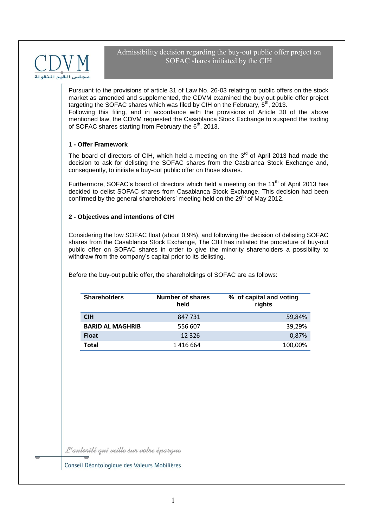

Pursuant to the provisions of article 31 of Law No. 26-03 relating to public offers on the stock market as amended and supplemented, the CDVM examined the buy-out public offer project targeting the SOFAC shares which was filed by CIH on the February,  $5<sup>th</sup>$ , 2013. Following this filing, and in accordance with the provisions of Article 30 of the above mentioned law, the CDVM requested the Casablanca Stock Exchange to suspend the trading of SOFAC shares starting from February the 6<sup>th</sup>, 2013.

## **1 - Offer Framework**

The board of directors of CIH, which held a meeting on the  $3<sup>rd</sup>$  of April 2013 had made the decision to ask for delisting the SOFAC shares from the Casblanca Stock Exchange and, consequently, to initiate a buy-out public offer on those shares.

Furthermore, SOFAC's board of directors which held a meeting on the 11<sup>th</sup> of April 2013 has decided to delist SOFAC shares from Casablanca Stock Exchange. This decision had been confirmed by the general shareholders' meeting held on the  $29<sup>th</sup>$  of May 2012.

# **2 - Objectives and intentions of CIH**

Considering the low SOFAC float (about 0,9%), and following the decision of delisting SOFAC shares from the Casablanca Stock Exchange, The CIH has initiated the procedure of buy-out public offer on SOFAC shares in order to give the minority shareholders a possibility to withdraw from the company's capital prior to its delisting.

Before the buy-out public offer, the shareholdings of SOFAC are as follows:

| <b>Shareholders</b>     | Number of shares<br>held | % of capital and voting<br>rights |  |
|-------------------------|--------------------------|-----------------------------------|--|
| <b>CIH</b>              | 847 731                  | 59,84%                            |  |
| <b>BARID AL MAGHRIB</b> | 556 607                  | 39,29%                            |  |
| <b>Float</b>            | 12 3 2 6                 | 0,87%                             |  |
| Total                   | 1416664                  | 100,00%                           |  |

L'autorité qui veille sur votre épargne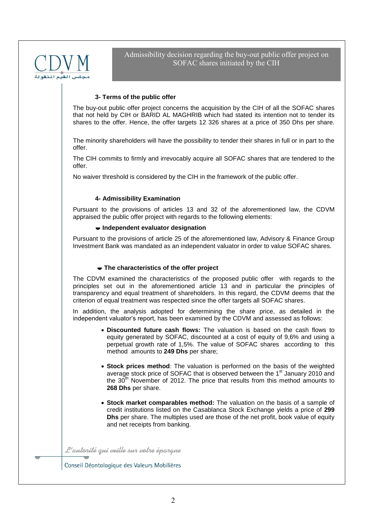

## **3- Terms of the public offer**

The buy-out public offer project concerns the acquisition by the CIH of all the SOFAC shares that not held by CIH or BARID AL MAGHRIB which had stated its intention not to tender its shares to the offer. Hence, the offer targets 12 326 shares at a price of 350 Dhs per share.

The minority shareholders will have the possibility to tender their shares in full or in part to the offer.

The CIH commits to firmly and irrevocably acquire all SOFAC shares that are tendered to the offer.

No waiver threshold is considered by the CIH in the framework of the public offer.

#### **4- Admissibility Examination**

Pursuant to the provisions of articles 13 and 32 of the aforementioned law, the CDVM appraised the public offer project with regards to the following elements:

#### **Independent evaluator designation**

Pursuant to the provisions of article 25 of the aforementioned law, Advisory & Finance Group Investment Bank was mandated as an independent valuator in order to value SOFAC shares.

#### **The characteristics of the offer project**

The CDVM examined the characteristics of the proposed public offer with regards to the principles set out in the aforementioned article 13 and in particular the principles of transparency and equal treatment of shareholders. In this regard, the CDVM deems that the criterion of equal treatment was respected since the offer targets all SOFAC shares.

In addition, the analysis adopted for determining the share price, as detailed in the independent valuator's report, has been examined by the CDVM and assessed as follows:

- **Discounted future cash flows:** The valuation is based on the cash flows to equity generated by SOFAC, discounted at a cost of equity of 9,6% and using a perpetual growth rate of 1,5%. The value of SOFAC shares according to this method amounts to **249 Dhs** per share;
- **Stock prices method**: The valuation is performed on the basis of the weighted average stock price of SOFAC that is observed between the 1<sup>st</sup> January 2010 and the  $30<sup>th</sup>$  November of 2012. The price that results from this method amounts to **268 Dhs** per share.
- **Stock market comparables method:** The valuation on the basis of a sample of credit institutions listed on the Casablanca Stock Exchange yields a price of **299 Dhs** per share. The multiples used are those of the net profit, book value of equity and net receipts from banking.

L'autorité qui veille sur votre épargne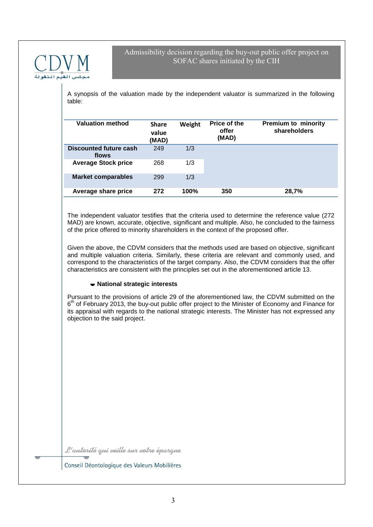

A synopsis of the valuation made by the independent valuator is summarized in the following table:

| <b>Valuation method</b>         | <b>Share</b><br>value<br>(MAD) | Weight | Price of the<br>offer<br>(MAD) | <b>Premium to minority</b><br>shareholders |
|---------------------------------|--------------------------------|--------|--------------------------------|--------------------------------------------|
| Discounted future cash<br>flows | 249                            | 1/3    |                                |                                            |
| <b>Average Stock price</b>      | 268                            | 1/3    |                                |                                            |
| <b>Market comparables</b>       | 299                            | 1/3    |                                |                                            |
| Average share price             | 272                            | 100%   | 350                            | 28,7%                                      |

The independent valuator testifies that the criteria used to determine the reference value (272 MAD) are known, accurate, objective, significant and multiple. Also, he concluded to the fairness of the price offered to minority shareholders in the context of the proposed offer.

Given the above, the CDVM considers that the methods used are based on objective, significant and multiple valuation criteria. Similarly, these criteria are relevant and commonly used, and correspond to the characteristics of the target company. Also, the CDVM considers that the offer characteristics are consistent with the principles set out in the aforementioned article 13.

## **National strategic interests**

Pursuant to the provisions of article 29 of the aforementioned law, the CDVM submitted on the 6<sup>th</sup> of February 2013, the buy-out public offer project to the Minister of Economy and Finance for its appraisal with regards to the national strategic interests. The Minister has not expressed any objection to the said project.

L'autorité qui veille sur votre éparque